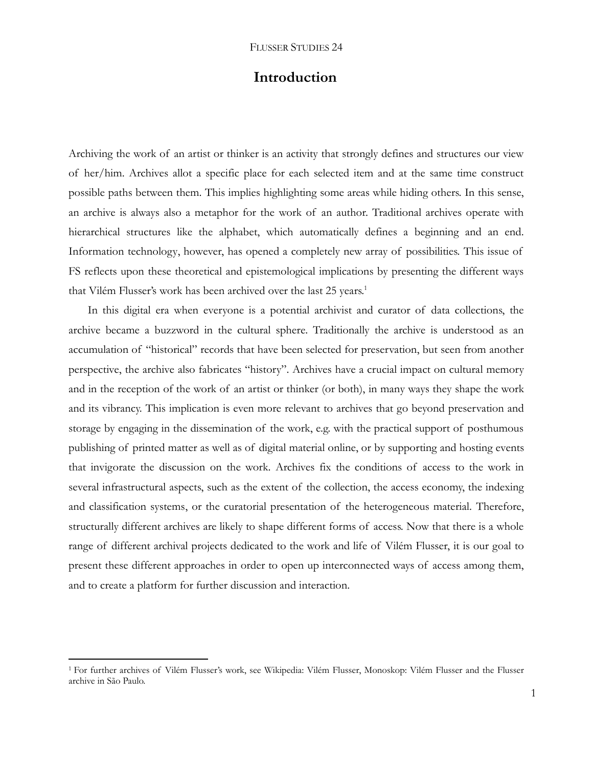# **Introduction**

Archiving the work of an artist or thinker is an activity that strongly defines and structures our view of her/him. Archives allot a specific place for each selected item and at the same time construct possible paths between them. This implies highlighting some areas while hiding others. In this sense, an archive is always also a metaphor for the work of an author. Traditional archives operate with hierarchical structures like the alphabet, which automatically defines a beginning and an end. Information technology, however, has opened a completely new array of possibilities. This issue of FS reflects upon these theoretical and epistemological implications by presenting the different ways that Vilém Flusser's work has been archived over the last 25 years.<sup>1</sup>

In this digital era when everyone is a potential archivist and curator of data collections, the archive became a buzzword in the cultural sphere. Traditionally the archive is understood as an accumulation of "historical" records that have been selected for preservation, but seen from another perspective, the archive also fabricates "history". Archives have a crucial impact on cultural memory and in the reception of the work of an artist or thinker (or both), in many ways they shape the work and its vibrancy. This implication is even more relevant to archives that go beyond preservation and storage by engaging in the dissemination of the work, e.g. with the practical support of posthumous publishing of printed matter as well as of digital material online, or by supporting and hosting events that invigorate the discussion on the work. Archives fix the conditions of access to the work in several infrastructural aspects, such as the extent of the collection, the access economy, the indexing and classification systems, or the curatorial presentation of the heterogeneous material. Therefore, structurally different archives are likely to shape different forms of access. Now that there is a whole range of different archival projects dedicated to the work and life of Vilém Flusser, it is our goal to present these different approaches in order to open up interconnected ways of access among them, and to create a platform for further discussion and interaction.

<sup>1</sup> For further archives of Vilém Flusser's work, see [Wikipedia: Vilém Flusser,](https://en.wikipedia.org/wiki/Vilém_Flusser) [Monoskop: Vilém Flusser](https://monoskop.org/Vilém_Flusser) and the [Flusser](http://www.arquivovilemflussersp.com.br/vilemflusser/)  [archive in São Paulo.](http://www.arquivovilemflussersp.com.br/vilemflusser/)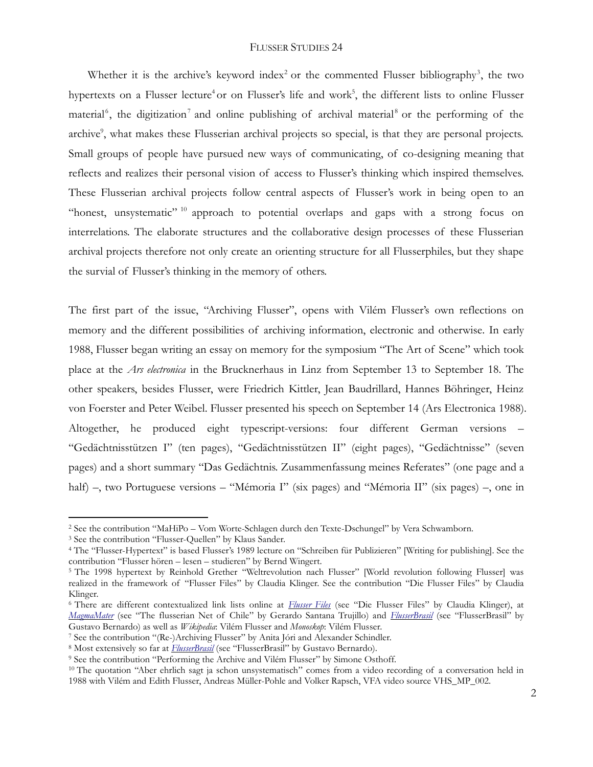Whether it is the archive's keyword index<sup>2</sup> or the commented Flusser bibliography<sup>3</sup>, the two hypertexts on a Flusser lecture<sup>4</sup> or on Flusser's life and work<sup>5</sup>, the different lists to online Flusser material<sup>6</sup>, the digitization<sup>7</sup> and online publishing of archival material<sup>8</sup> or the performing of the archive<sup>9</sup>, what makes these Flusserian archival projects so special, is that they are personal projects. Small groups of people have pursued new ways of communicating, of co-designing meaning that reflects and realizes their personal vision of access to Flusser's thinking which inspired themselves. These Flusserian archival projects follow central aspects of Flusser's work in being open to an "honest, unsystematic"<sup>10</sup> approach to potential overlaps and gaps with a strong focus on interrelations. The elaborate structures and the collaborative design processes of these Flusserian archival projects therefore not only create an orienting structure for all Flusserphiles, but they shape the survial of Flusser's thinking in the memory of others.

The first part of the issue, "Archiving Flusser", opens with Vilém Flusser's own reflections on memory and the different possibilities of archiving information, electronic and otherwise. In early 1988, Flusser began writing an essay on memory for the symposium "The Art of Scene" which took place at the *Ars electronica* in the Brucknerhaus in Linz from September 13 to September 18. The other speakers, besides Flusser, were Friedrich Kittler, Jean Baudrillard, Hannes Böhringer, Heinz von Foerster and Peter Weibel. Flusser presented his speech on September 14 [\(Ars Electronica 1988\)](http://90.146.8.18/de/archives/festival_archive/festival_overview.asp?iPresentationYearFrom=1988). Altogether, he produced eight typescript-versions: four different German versions – "Gedächtnisstützen I" (ten pages), "Gedächtnisstützen II" (eight pages), "Gedächtnisse" (seven pages) and a short summary "Das Gedächtnis. Zusammenfassung meines Referates" (one page and a half) –, two Portuguese versions – "Mémoria I" (six pages) and "Mémoria II" (six pages) –, one in

<sup>2</sup> See the contribution "MaHiPo – Vom Worte-Schlagen durch den Texte-Dschungel" by Vera Schwamborn.

<sup>3</sup> See the contribution "Flusser-Quellen" by Klaus Sander.

<sup>4</sup> The "Flusser-Hypertext" is based Flusser's 1989 lecture on "Schreiben für Publizieren" [Writing for publishing]. See the contribution "Flusser hören – lesen – studieren" by Bernd Wingert.

<sup>&</sup>lt;sup>5</sup> The 1998 hypertext by Reinhold Grether "Weltrevolution nach Flusser" [World revolution following Flusser] was realized in the framework of "Flusser Files" by Claudia Klinger. See the contribution "Die Flusser Files" by Claudia Klinger.

<sup>6</sup> There are different contextualized link lists online at *[Flusser Files](http://www.claudia-klinger.de/flusser/index.htm)* (see "Die Flusser Files" by Claudia Klinger), at *[MagmaMater](http://www.magmamater.cl/flusser/)* (see "The flusserian Net of Chile" by Gerardo Santana Trujillo) and *[FlusserBrasil](http://flusserbrasil.com/)* (see "FlusserBrasil" by Gustavo Bernardo) as well as *[Wikipedia](https://en.wikipedia.org/wiki/Vilém_Flusser)*[: Vilém Flusser](https://en.wikipedia.org/wiki/Vilém_Flusser) and *[Monoskop](https://monoskop.org/Vilém_Flusser)*[: Vilém Flusser.](https://monoskop.org/Vilém_Flusser)

<sup>7</sup> See the contribution "(Re-)Archiving Flusser" by Anita Jóri and Alexander Schindler.

<sup>8</sup> Most extensively so far at *[FlusserBrasil](http://flusserbrasil.com/)* (see "FlusserBrasil" by Gustavo Bernardo).

<sup>9</sup> See the contribution "Performing the Archive and Vilém Flusser" by Simone Osthoff.

<sup>&</sup>lt;sup>10</sup> The quotation "Aber ehrlich sagt ja schon unsystematisch" comes from a video recording of a conversation held in 1988 with Vilém and Edith Flusser, Andreas Müller-Pohle and Volker Rapsch, VFA video source VHS\_MP\_002.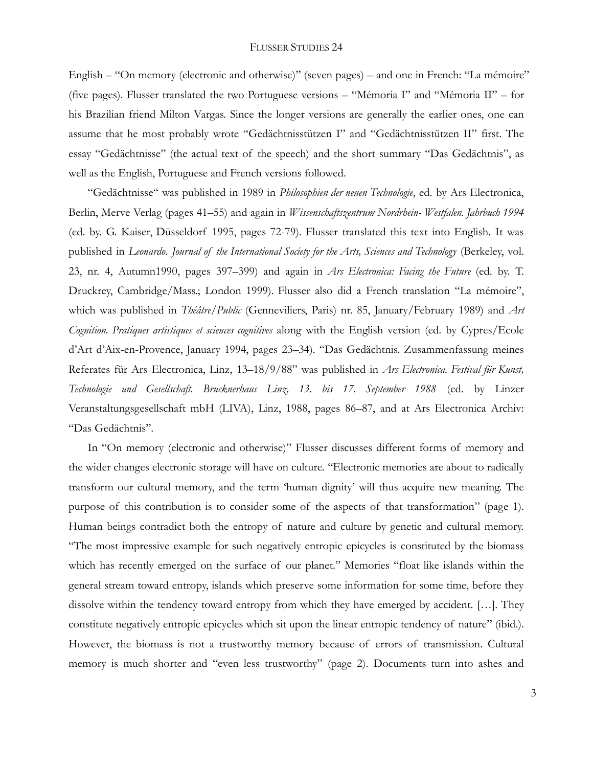English – "On memory (electronic and otherwise)" (seven pages) – and one in French: "La mémoire" (five pages). Flusser translated the two Portuguese versions – "Mémoria I" and "Mémoria II" – for his Brazilian friend Milton Vargas. Since the longer versions are generally the earlier ones, one can assume that he most probably wrote "Gedächtnisstützen I" and "Gedächtnisstützen II" first. The essay "Gedächtnisse" (the actual text of the speech) and the short summary "Das Gedächtnis", as well as the English, Portuguese and French versions followed.

"Gedächtnisse" was published in 1989 in *Philosophien der neuen Technologie*, ed. by Ars Electronica, Berlin, Merve Verlag (pages 41–55) and again in *Wissenschaftszentrum Nordrhein- Westfalen. Jahrbuch 1994* (ed. by. G. Kaiser, Düsseldorf 1995, pages 72-79). Flusser translated this text into English. It was published in *Leonardo*. *Journal of the International Society for the Arts, Sciences and Technology* (Berkeley, vol. 23, nr. 4, Autumn1990, pages 397–399) and again in *Ars Electronica: Facing the Future* (ed. by. T. Druckrey, Cambridge/Mass.; London 1999)*.* Flusser also did a French translation "La mémoire", which was published in *Théâtre/Public* (Genneviliers, Paris) nr. 85, January/February 1989) and *Art Cognition. Pratiques artistiques et sciences cognitives* along with the English version (ed. by Cypres/Ecole d'Art d'Aix-en-Provence, January 1994, pages 23–34). "Das Gedächtnis. Zusammenfassung meines Referates für Ars Electronica, Linz, 13–18/9/88" was published in *Ars Electronica. Festival für Kunst, Technologie und Gesellschaft. Brucknerhaus Linz, 13. bis 17. September 1988* (ed. by Linzer Veranstaltungsgesellschaft mbH (LIVA), Linz, 1988, pages 86–87, and at Ars Electronica Archiv: "Das Gedächtnis".

In "On memory (electronic and otherwise)" Flusser discusses different forms of memory and the wider changes electronic storage will have on culture. "Electronic memories are about to radically transform our cultural memory, and the term 'human dignity' will thus acquire new meaning. The purpose of this contribution is to consider some of the aspects of that transformation" (page 1). Human beings contradict both the entropy of nature and culture by genetic and cultural memory. "The most impressive example for such negatively entropic epicycles is constituted by the biomass which has recently emerged on the surface of our planet." Memories "float like islands within the general stream toward entropy, islands which preserve some information for some time, before they dissolve within the tendency toward entropy from which they have emerged by accident. […]. They constitute negatively entropic epicycles which sit upon the linear entropic tendency of nature" (ibid.). However, the biomass is not a trustworthy memory because of errors of transmission. Cultural memory is much shorter and "even less trustworthy" (page 2). Documents turn into ashes and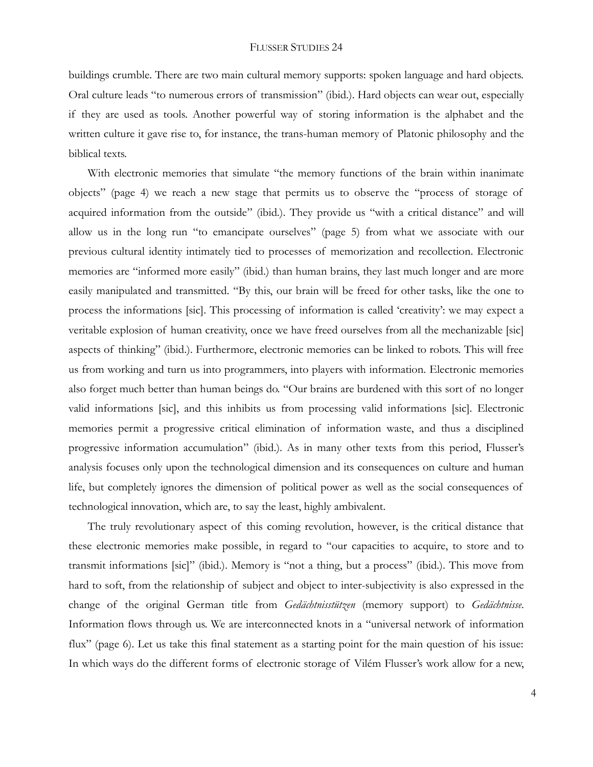buildings crumble. There are two main cultural memory supports: spoken language and hard objects. Oral culture leads "to numerous errors of transmission" (ibid.). Hard objects can wear out, especially if they are used as tools. Another powerful way of storing information is the alphabet and the written culture it gave rise to, for instance, the trans-human memory of Platonic philosophy and the biblical texts.

With electronic memories that simulate "the memory functions of the brain within inanimate objects" (page 4) we reach a new stage that permits us to observe the "process of storage of acquired information from the outside" (ibid.). They provide us "with a critical distance" and will allow us in the long run "to emancipate ourselves" (page 5) from what we associate with our previous cultural identity intimately tied to processes of memorization and recollection. Electronic memories are "informed more easily" (ibid.) than human brains, they last much longer and are more easily manipulated and transmitted. "By this, our brain will be freed for other tasks, like the one to process the informations [sic]. This processing of information is called 'creativity': we may expect a veritable explosion of human creativity, once we have freed ourselves from all the mechanizable [sic] aspects of thinking" (ibid.). Furthermore, electronic memories can be linked to robots. This will free us from working and turn us into programmers, into players with information. Electronic memories also forget much better than human beings do. "Our brains are burdened with this sort of no longer valid informations [sic], and this inhibits us from processing valid informations [sic]. Electronic memories permit a progressive critical elimination of information waste, and thus a disciplined progressive information accumulation" (ibid.). As in many other texts from this period, Flusser's analysis focuses only upon the technological dimension and its consequences on culture and human life, but completely ignores the dimension of political power as well as the social consequences of technological innovation, which are, to say the least, highly ambivalent.

The truly revolutionary aspect of this coming revolution, however, is the critical distance that these electronic memories make possible, in regard to "our capacities to acquire, to store and to transmit informations [sic]" (ibid.). Memory is "not a thing, but a process" (ibid.). This move from hard to soft, from the relationship of subject and object to inter-subjectivity is also expressed in the change of the original German title from *Gedächtnisstützen* (memory support) to *Gedächtnisse*. Information flows through us. We are interconnected knots in a "universal network of information flux" (page 6). Let us take this final statement as a starting point for the main question of his issue: In which ways do the different forms of electronic storage of Vilém Flusser's work allow for a new,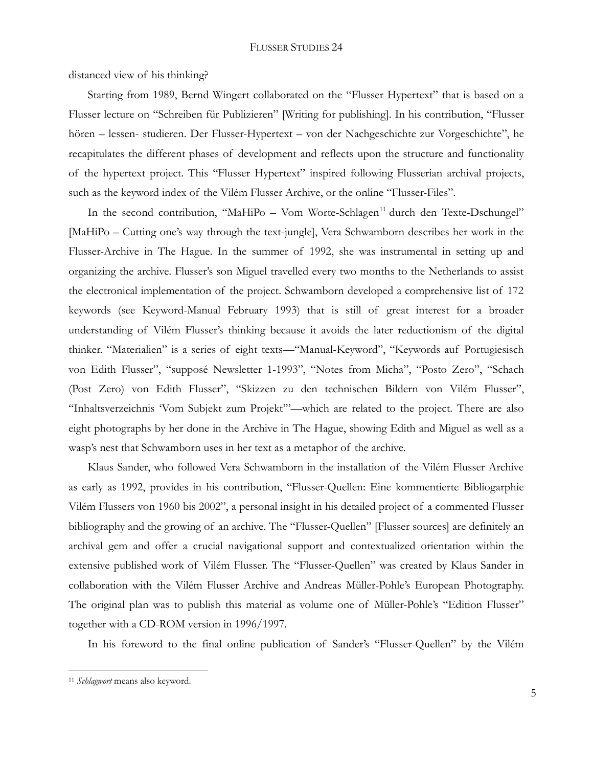distanced view of his thinking?

Starting from 1989, Bernd Wingert collaborated on the "Flusser Hypertext" that is based on a Flusser lecture on "Schreiben für Publizieren" [Writing for publishing]. In his contribution, "Flusser hören – lessen- studieren. Der Flusser-Hypertext – von der Nachgeschichte zur Vorgeschichte", he recapitulates the different phases of development and reflects upon the structure and functionality of the hypertext project. This "Flusser Hypertext" inspired following Flusserian archival projects, such as the keyword index of the Vilém Flusser Archive, or the online "Flusser-Files".

In the second contribution, "MaHiPo – Vom Worte-Schlagen<sup>11</sup> durch den Texte-Dschungel" [MaHiPo – Cutting one's way through the text-jungle], Vera Schwamborn describes her work in the Flusser-Archive in The Hague. In the summer of 1992, she was instrumental in setting up and organizing the archive. Flusser's son Miguel travelled every two months to the Netherlands to assist the electronical implementation of the project. Schwamborn developed a comprehensive list of 172 keywords (see Keyword-Manual February 1993) that is still of great interest for a broader understanding of Vilém Flusser's thinking because it avoids the later reductionism of the digital thinker. "Materialien" is a series of eight texts—"Manual-Keyword", "Keywords auf Portugiesisch von Edith Flusser", "supposé Newsletter 1-1993", "Notes from Micha", "Posto Zero", "Schach (Post Zero) von Edith Flusser", "Skizzen zu den technischen Bildern von Vilém Flusser", "Inhaltsverzeichnis 'Vom Subjekt zum Projekt'"—which are related to the project. There are also eight photographs by her done in the Archive in The Hague, showing Edith and Miguel as well as a wasp's nest that Schwamborn uses in her text as a metaphor of the archive.

Klaus Sander, who followed Vera Schwamborn in the installation of the Vilém Flusser Archive as early as 1992, provides in his contribution, "Flusser-Quellen: Eine kommentierte Bibliogarphie Vilém Flussers von 1960 bis 2002", a personal insight in his detailed project of a commented Flusser bibliography and the growing of an archive. The "Flusser-Quellen" [Flusser sources] are definitely an archival gem and offer a crucial navigational support and contextualized orientation within the extensive published work of Vilém Flusser. The "Flusser-Quellen" was created by Klaus Sander in collaboration with the Vilém Flusser Archive and Andreas Müller-Pohle's European Photography. The original plan was to publish this material as volume one of Müller-Pohle's "Edition Flusser" together with a CD-ROM version in 1996/1997.

In his foreword to the final online publication of Sander's "Flusser-Quellen" by the Vilém

<sup>11</sup> *Schlagwort* means also keyword.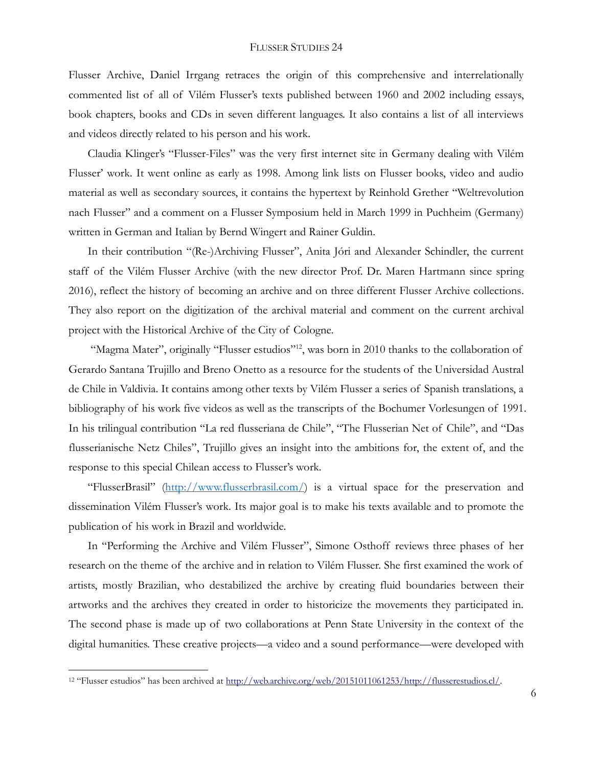Flusser Archive, Daniel Irrgang retraces the origin of this comprehensive and interrelationally commented list of all of Vilém Flusser's texts published between 1960 and 2002 including essays, book chapters, books and CDs in seven different languages. It also contains a list of all interviews and videos directly related to his person and his work.

Claudia Klinger's "[Flusser-Files](http://www.claudia-klinger.de/flusser/)" was the very first internet site in Germany dealing with Vilém Flusser' work. It went online as early as 1998. Among link lists on Flusser books, video and audio material as well as secondary sources, it contains the hypertext by Reinhold Grether "Weltrevolution nach Flusser" and a comment on a Flusser Symposium held in March 1999 in Puchheim (Germany) written in German and Italian by Bernd Wingert and Rainer Guldin.

In their contribution "(Re-)Archiving Flusser", Anita Jóri and Alexander Schindler, the current staff of the Vilém Flusser Archive (with the new director Prof. Dr. Maren Hartmann since spring 2016), reflect the history of becoming an archive and on three different Flusser Archive collections. They also report on the digitization of the archival material and comment on the current archival project with the Historical Archive of the City of Cologne.

"[Magma Mater](http://www.magmamater.cl/flusser/)", originally "Flusser estudios"<sup>12</sup>, was born in 2010 thanks to the collaboration of Gerardo Santana Trujillo and Breno Onetto as a resource for the students of the Universidad Austral de Chile in Valdivia. It contains among other texts by Vilém Flusser a series of Spanish translations, a bibliography of his work five videos as well as the transcripts of the Bochumer Vorlesungen of 1991. In his trilingual contribution "La red flusseriana de Chile", "The Flusserian Net of Chile", and "Das flusserianische Netz Chiles", Trujillo gives an insight into the ambitions for, the extent of, and the response to this special Chilean access to Flusser's work.

"FlusserBrasil" ([http://www.flusserbrasil.com/\)](http://www.flusserbrasil.com/#_blank) is a virtual space for the preservation and dissemination Vilém Flusser's work. Its major goal is to make his texts available and to promote the publication of his work in Brazil and worldwide.

In "Performing the Archive and Vilém Flusser", Simone Osthoff reviews three phases of her research on the theme of the archive and in relation to Vilém Flusser. She first examined the work of artists, mostly Brazilian, who destabilized the archive by creating fluid boundaries between their artworks and the archives they created in order to historicize the movements they participated in. The second phase is made up of two collaborations at Penn State University in the context of the digital humanities. These creative projects—a video and a sound performance—were developed with

<sup>12</sup> "Flusser estudios" has been archived at [http://web.archive.org/web/20151011061253/http://flusserestudios.cl/.](http://web.archive.org/web/20151011061253/http:/flusserestudios.cl/)